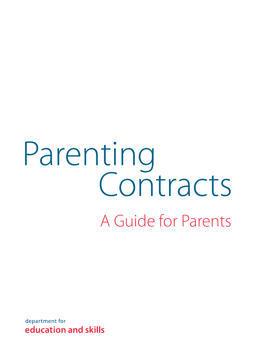### Parenting A Guide for Parents **Contracts**

department for education and skills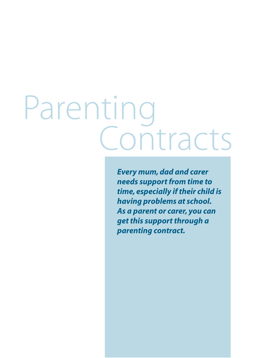## Parenting<br>Contracts

*Every mum, dad and carer needs support from time to time, especially if their child is having problems at school. As a parent or carer, you can get this support through a parenting contract.*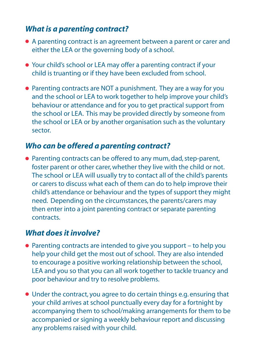#### *What is a parenting contract?*

- A parenting contract is an agreement between a parent or carer and either the LEA or the governing body of a school.
- Your child's school or LEA may offer a parenting contract if your child is truanting or if they have been excluded from school.
- Parenting contracts are NOT a punishment. They are a way for you and the school or LEA to work together to help improve your child's behaviour or attendance and for you to get practical support from the school or LEA. This may be provided directly by someone from the school or LEA or by another organisation such as the voluntary sector.

#### *Who can be offered a parenting contract?*

● Parenting contracts can be offered to any mum, dad, step-parent, foster parent or other carer, whether they live with the child or not. The school or LEA will usually try to contact all of the child's parents or carers to discuss what each of them can do to help improve their child's attendance or behaviour and the types of support they might need. Depending on the circumstances, the parents/carers may then enter into a joint parenting contract or separate parenting contracts.

#### *What does it involve?*

- Parenting contracts are intended to give you support to help you help your child get the most out of school. They are also intended to encourage a positive working relationship between the school, LEA and you so that you can all work together to tackle truancy and poor behaviour and try to resolve problems.
- Under the contract, you agree to do certain things e.g. ensuring that your child arrives at school punctually every day for a fortnight by accompanying them to school/making arrangements for them to be accompanied or signing a weekly behaviour report and discussing any problems raised with your child.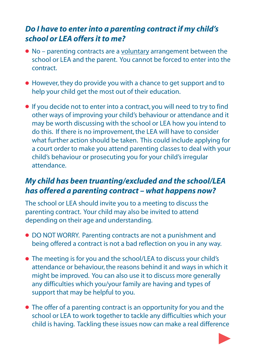#### *Do I have to enter into a parenting contract if my child's school or LEA offers it to me?*

- No parenting contracts are a voluntary arrangement between the school or LEA and the parent. You cannot be forced to enter into the contract.
- However, they do provide you with a chance to get support and to help your child get the most out of their education.
- If you decide not to enter into a contract, you will need to try to find other ways of improving your child's behaviour or attendance and it may be worth discussing with the school or LEA how you intend to do this. If there is no improvement, the LEA will have to consider what further action should be taken. This could include applying for a court order to make you attend parenting classes to deal with your child's behaviour or prosecuting you for your child's irregular attendance.

#### *My child has been truanting/excluded and the school/LEA has offered a parenting contract – what happens now?*

The school or LEA should invite you to a meeting to discuss the parenting contract. Your child may also be invited to attend depending on their age and understanding.

- DO NOT WORRY. Parenting contracts are not a punishment and being offered a contract is not a bad reflection on you in any way.
- The meeting is for you and the school/LEA to discuss your child's attendance or behaviour, the reasons behind it and ways in which it might be improved. You can also use it to discuss more generally any difficulties which you/your family are having and types of support that may be helpful to you.
- The offer of a parenting contract is an opportunity for you and the school or LEA to work together to tackle any difficulties which your child is having. Tackling these issues now can make a real difference

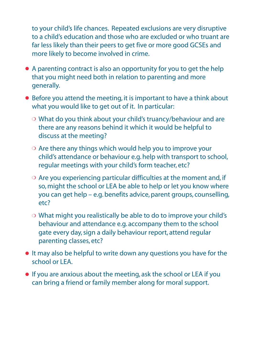to your child's life chances. Repeated exclusions are very disruptive to a child's education and those who are excluded or who truant are far less likely than their peers to get five or more good GCSEs and more likely to become involved in crime.

- A parenting contract is also an opportunity for you to get the help that you might need both in relation to parenting and more generally.
- Before you attend the meeting, it is important to have a think about what you would like to get out of it. In particular:
	- ❍ What do you think about your child's truancy/behaviour and are there are any reasons behind it which it would be helpful to discuss at the meeting?
	- ❍ Are there any things which would help you to improve your child's attendance or behaviour e.g. help with transport to school, regular meetings with your child's form teacher, etc?
	- ❍ Are you experiencing particular difficulties at the moment and, if so, might the school or LEA be able to help or let you know where you can get help – e.g. benefits advice, parent groups, counselling, etc?
	- ❍ What might you realistically be able to do to improve your child's behaviour and attendance e.g. accompany them to the school gate every day, sign a daily behaviour report, attend regular parenting classes, etc?
- It may also be helpful to write down any questions you have for the school or LEA.
- If you are anxious about the meeting, ask the school or LEA if you can bring a friend or family member along for moral support.